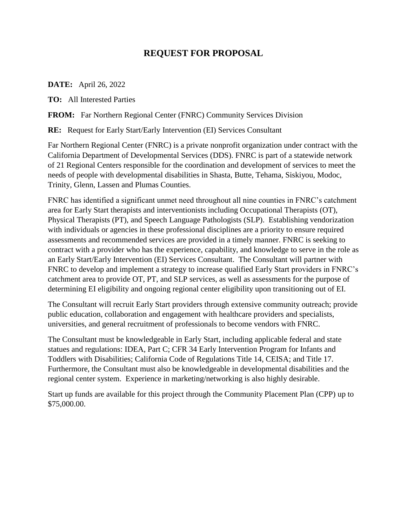## **REQUEST FOR PROPOSAL**

**DATE:** April 26, 2022

**TO:** All Interested Parties

**FROM:** Far Northern Regional Center (FNRC) Community Services Division

**RE:** Request for Early Start/Early Intervention (EI) Services Consultant

Far Northern Regional Center (FNRC) is a private nonprofit organization under contract with the California Department of Developmental Services (DDS). FNRC is part of a statewide network of 21 Regional Centers responsible for the coordination and development of services to meet the needs of people with developmental disabilities in Shasta, Butte, Tehama, Siskiyou, Modoc, Trinity, Glenn, Lassen and Plumas Counties.

FNRC has identified a significant unmet need throughout all nine counties in FNRC's catchment area for Early Start therapists and interventionists including Occupational Therapists (OT), Physical Therapists (PT), and Speech Language Pathologists (SLP). Establishing vendorization with individuals or agencies in these professional disciplines are a priority to ensure required assessments and recommended services are provided in a timely manner. FNRC is seeking to contract with a provider who has the experience, capability, and knowledge to serve in the role as an Early Start/Early Intervention (EI) Services Consultant. The Consultant will partner with FNRC to develop and implement a strategy to increase qualified Early Start providers in FNRC's catchment area to provide OT, PT, and SLP services, as well as assessments for the purpose of determining EI eligibility and ongoing regional center eligibility upon transitioning out of EI.

The Consultant will recruit Early Start providers through extensive community outreach; provide public education, collaboration and engagement with healthcare providers and specialists, universities, and general recruitment of professionals to become vendors with FNRC.

The Consultant must be knowledgeable in Early Start, including applicable federal and state statues and regulations: IDEA, Part C; CFR 34 Early Intervention Program for Infants and Toddlers with Disabilities; California Code of Regulations Title 14, CEISA; and Title 17. Furthermore, the Consultant must also be knowledgeable in developmental disabilities and the regional center system. Experience in marketing/networking is also highly desirable.

Start up funds are available for this project through the Community Placement Plan (CPP) up to \$75,000.00.